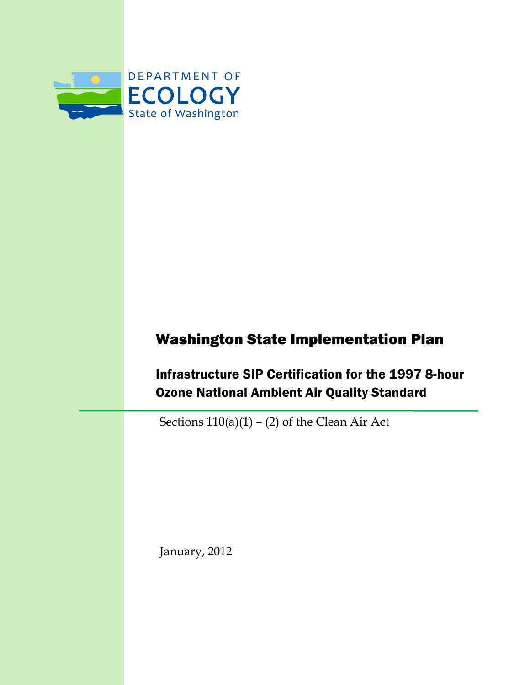

# Washington State Implementation Plan

Infrastructure SIP Certification for the 1997 8-hour Ozone National Ambient Air Quality Standard

Sections  $110(a)(1) - (2)$  of the Clean Air Act

January, 2012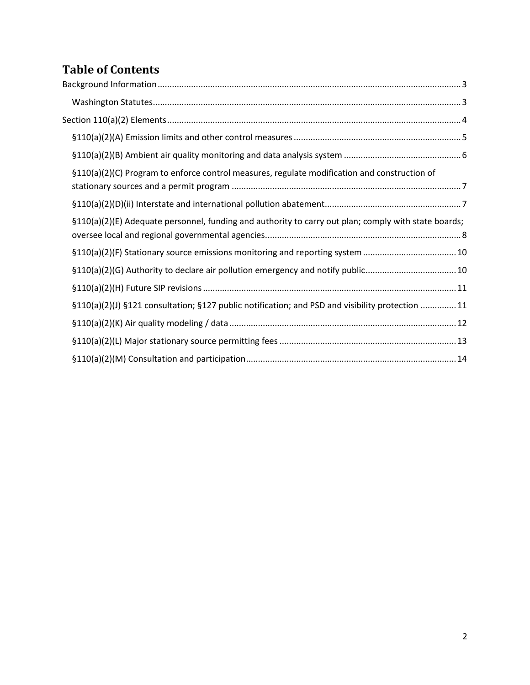# **Table of Contents**

| §110(a)(2)(C) Program to enforce control measures, regulate modification and construction of         |  |
|------------------------------------------------------------------------------------------------------|--|
|                                                                                                      |  |
| §110(a)(2)(E) Adequate personnel, funding and authority to carry out plan; comply with state boards; |  |
| §110(a)(2)(F) Stationary source emissions monitoring and reporting system 10                         |  |
| §110(a)(2)(G) Authority to declare air pollution emergency and notify public10                       |  |
|                                                                                                      |  |
| §110(a)(2)(J) §121 consultation; §127 public notification; and PSD and visibility protection 11      |  |
|                                                                                                      |  |
|                                                                                                      |  |
|                                                                                                      |  |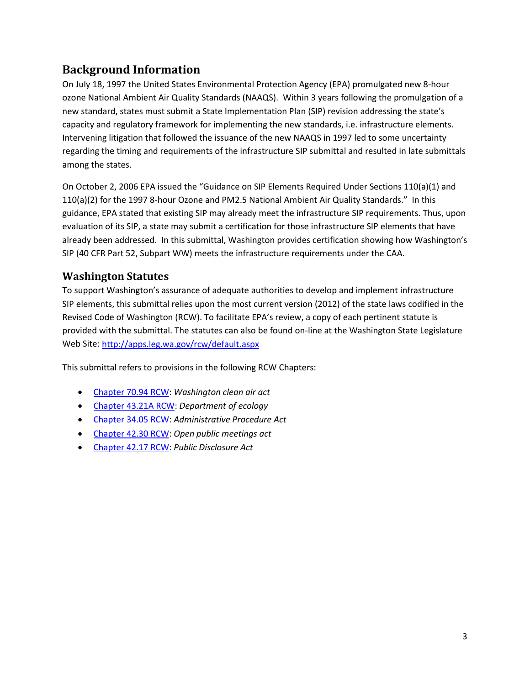## <span id="page-2-0"></span>**Background Information**

On July 18, 1997 the United States Environmental Protection Agency (EPA) promulgated new 8-hour ozone National Ambient Air Quality Standards (NAAQS). Within 3 years following the promulgation of a new standard, states must submit a State Implementation Plan (SIP) revision addressing the state's capacity and regulatory framework for implementing the new standards, i.e. infrastructure elements. Intervening litigation that followed the issuance of the new NAAQS in 1997 led to some uncertainty regarding the timing and requirements of the infrastructure SIP submittal and resulted in late submittals among the states.

On October 2, 2006 EPA issued the "Guidance on SIP Elements Required Under Sections 110(a)(1) and 110(a)(2) for the 1997 8-hour Ozone and PM2.5 National Ambient Air Quality Standards." In this guidance, EPA stated that existing SIP may already meet the infrastructure SIP requirements. Thus, upon evaluation of its SIP, a state may submit a certification for those infrastructure SIP elements that have already been addressed. In this submittal, Washington provides certification showing how Washington's SIP (40 CFR Part 52, Subpart WW) meets the infrastructure requirements under the CAA.

## <span id="page-2-1"></span>**Washington Statutes**

To support Washington's assurance of adequate authorities to develop and implement infrastructure SIP elements, this submittal relies upon the most current version (2012) of the state laws codified in the Revised Code of Washington (RCW). To facilitate EPA's review, a copy of each pertinent statute is provided with the submittal. The statutes can also be found on-line at the Washington State Legislature Web Site[: http://apps.leg.wa.gov/rcw/default.aspx](http://apps.leg.wa.gov/rcw/default.aspx) 

This submittal refers to provisions in the following RCW Chapters:

- [Chapter 70.94 RCW:](http://apps.leg.wa.gov/rcw/default.aspx?cite=70.94) *Washington clean air act*
- [Chapter 43.21A RCW:](http://apps.leg.wa.gov/rcw/default.aspx?cite=43.21A) *Department of ecology*
- [Chapter 34.05 RCW:](http://apps.leg.wa.gov/rcw/default.aspx?cite=34.05) *Administrative Procedure Act*
- [Chapter 42.30 RCW:](http://apps.leg.wa.gov/rcw/default.aspx?cite=42.30) *Open public meetings act*
- Chapter [42.17 RCW:](http://apps.leg.wa.gov/rcw/default.aspx?cite=42.17) *Public Disclosure Act*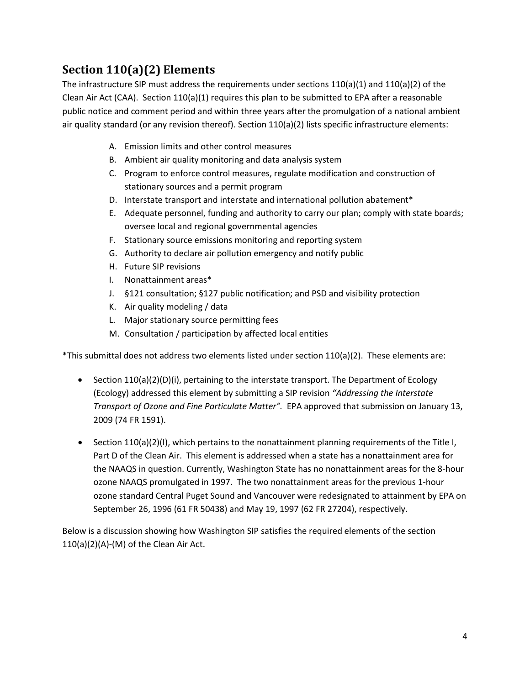## <span id="page-3-0"></span>**Section 110(a)(2) Elements**

The infrastructure SIP must address the requirements under sections  $110(a)(1)$  and  $110(a)(2)$  of the Clean Air Act (CAA). Section 110(a)(1) requires this plan to be submitted to EPA after a reasonable public notice and comment period and within three years after the promulgation of a national ambient air quality standard (or any revision thereof). Section 110(a)(2) lists specific infrastructure elements:

- A. Emission limits and other control measures
- B. Ambient air quality monitoring and data analysis system
- C. Program to enforce control measures, regulate modification and construction of stationary sources and a permit program
- D. Interstate transport and interstate and international pollution abatement\*
- E. Adequate personnel, funding and authority to carry our plan; comply with state boards; oversee local and regional governmental agencies
- F. Stationary source emissions monitoring and reporting system
- G. Authority to declare air pollution emergency and notify public
- H. Future SIP revisions
- I. Nonattainment areas\*
- J. §121 consultation; §127 public notification; and PSD and visibility protection
- K. Air quality modeling / data
- L. Major stationary source permitting fees
- M. Consultation / participation by affected local entities

\*This submittal does not address two elements listed under section 110(a)(2). These elements are:

- Section 110(a)(2)(D)(i), pertaining to the interstate transport. The Department of Ecology (Ecology) addressed this element by submitting a SIP revision *"Addressing the Interstate Transport of Ozone and Fine Particulate Matter".* EPA approved that submission on January 13, 2009 (74 FR 1591).
- Section 110(a)(2)(I), which pertains to the nonattainment planning requirements of the Title I, Part D of the Clean Air. This element is addressed when a state has a nonattainment area for the NAAQS in question. Currently, Washington State has no nonattainment areas for the 8-hour ozone NAAQS promulgated in 1997. The two nonattainment areas for the previous 1-hour ozone standard Central Puget Sound and Vancouver were redesignated to attainment by EPA on September 26, 1996 (61 FR 50438) and May 19, 1997 (62 FR 27204), respectively.

Below is a discussion showing how Washington SIP satisfies the required elements of the section 110(a)(2)(A)-(M) of the Clean Air Act.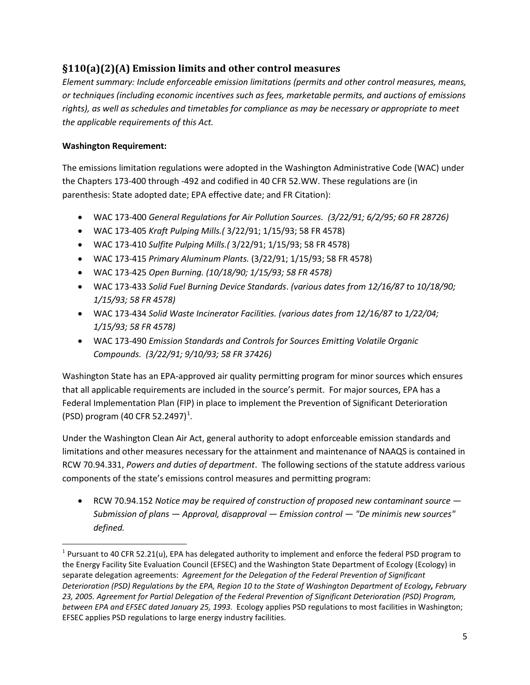## <span id="page-4-0"></span>**§110(a)(2)(A) Emission limits and other control measures**

*Element summary: Include enforceable emission limitations (permits and other control measures, means, or techniques (including economic incentives such as fees, marketable permits, and auctions of emissions rights), as well as schedules and timetables for compliance as may be necessary or appropriate to meet the applicable requirements of this Act.*

#### **Washington Requirement:**

 $\overline{\phantom{0}}$ 

The emissions limitation regulations were adopted in the Washington Administrative Code (WAC) under the Chapters 173-400 through -492 and codified in 40 CFR 52.WW. These regulations are (in parenthesis: State adopted date; EPA effective date; and FR Citation):

- WAC 173-400 *General Regulations for Air Pollution Sources. (3/22/91; 6/2/95; 60 FR 28726)*
- WAC 173-405 *Kraft Pulping Mills.(* 3/22/91; 1/15/93; 58 FR 4578)
- WAC 173-410 *Sulfite Pulping Mills.(* 3/22/91; 1/15/93; 58 FR 4578)
- WAC 173-415 *Primary Aluminum Plants.* (3/22/91; 1/15/93; 58 FR 4578)
- WAC 173-425 *Open Burning. (10/18/90; 1/15/93; 58 FR 4578)*
- WAC 173-433 *Solid Fuel Burning Device Standards*. *(various dates from 12/16/87 to 10/18/90; 1/15/93; 58 FR 4578)*
- WAC 173-434 *Solid Waste Incinerator Facilities. (various dates from 12/16/87 to 1/22/04; 1/15/93; 58 FR 4578)*
- WAC 173-490 *Emission Standards and Controls for Sources Emitting Volatile Organic Compounds. (3/22/91; 9/10/93; 58 FR 37426)*

Washington State has an EPA-approved air quality permitting program for minor sources which ensures that all applicable requirements are included in the source's permit. For major sources, EPA has a Federal Implementation Plan (FIP) in place to implement the Prevention of Significant Deterioration (PSD) program (40 CFR 52.2497)<sup>[1](#page-4-1)</sup>.

Under the Washington Clean Air Act, general authority to adopt enforceable emission standards and limitations and other measures necessary for the attainment and maintenance of NAAQS is contained in RCW 70.94.331, *Powers and duties of department*. The following sections of the statute address various components of the state's emissions control measures and permitting program:

• RCW 70.94.152 *Notice may be required of construction of proposed new contaminant source — Submission of plans — Approval, disapproval — Emission control — "De minimis new sources" defined.*

<span id="page-4-1"></span> $1$  Pursuant to 40 CFR 52.21(u), EPA has delegated authority to implement and enforce the federal PSD program to the Energy Facility Site Evaluation Council (EFSEC) and the Washington State Department of Ecology (Ecology) in separate delegation agreements: *Agreement for the Delegation of the Federal Prevention of Significant Deterioration (PSD) Regulations by the EPA, Region 10 to the State of Washington Department of Ecology, February 23, 2005. Agreement for Partial Delegation of the Federal Prevention of Significant Deterioration (PSD) Program, between EPA and EFSEC dated January 25, 1993.* Ecology applies PSD regulations to most facilities in Washington; EFSEC applies PSD regulations to large energy industry facilities.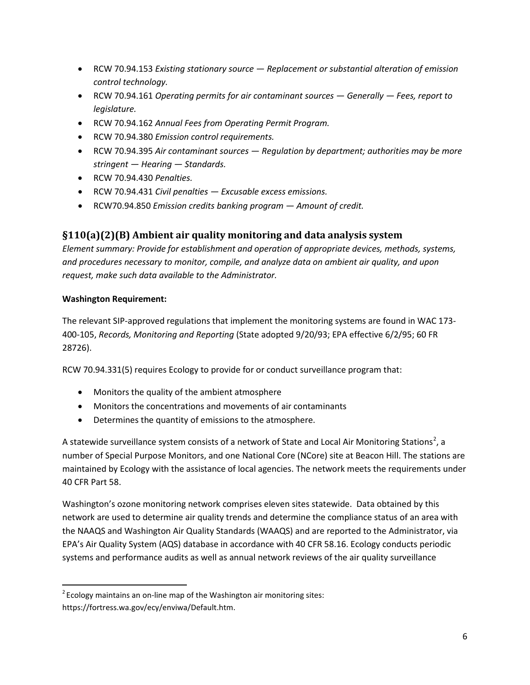- RCW 70.94.153 *Existing stationary source Replacement or substantial alteration of emission control technology.*
- RCW 70.94.161 *Operating permits for air contaminant sources Generally Fees, report to legislature.*
- RCW 70.94.162 *Annual Fees from Operating Permit Program.*
- RCW 70.94.380 *Emission control requirements.*
- RCW 70.94.395 *Air contaminant sources Regulation by department; authorities may be more stringent — Hearing — Standards.*
- RCW 70.94.430 *Penalties.*
- RCW 70.94.431 *Civil penalties Excusable excess emissions.*
- RCW70.94.850 *Emission credits banking program Amount of credit.*

## <span id="page-5-0"></span>**§110(a)(2)(B) Ambient air quality monitoring and data analysis system**

*Element summary: Provide for establishment and operation of appropriate devices, methods, systems, and procedures necessary to monitor, compile, and analyze data on ambient air quality, and upon request, make such data available to the Administrator.*

#### **Washington Requirement:**

ı

The relevant SIP-approved regulations that implement the monitoring systems are found in WAC 173- 400-105, *Records, Monitoring and Reporting* (State adopted 9/20/93; EPA effective 6/2/95; 60 FR 28726).

RCW 70.94.331(5) requires Ecology to provide for or conduct surveillance program that:

- Monitors the quality of the ambient atmosphere
- Monitors the concentrations and movements of air contaminants
- Determines the quantity of emissions to the atmosphere.

A statewide surveillance system consists of a network of State and Local Air Monitoring Stations<sup>[2](#page-5-1)</sup>, a number of Special Purpose Monitors, and one National Core (NCore) site at Beacon Hill. The stations are maintained by Ecology with the assistance of local agencies. The network meets the requirements under 40 CFR Part 58.

Washington's ozone monitoring network comprises eleven sites statewide. Data obtained by this network are used to determine air quality trends and determine the compliance status of an area with the NAAQS and Washington Air Quality Standards (WAAQS) and are reported to the Administrator, via EPA's Air Quality System (AQS) database in accordance with 40 CFR 58.16. Ecology conducts periodic systems and performance audits as well as annual network reviews of the air quality surveillance

<span id="page-5-1"></span> $2^{2}$  Ecology maintains an on-line map of the Washington air monitoring sites: [https://fortress.wa.gov/ecy/enviwa/Default.htm.](https://fortress.wa.gov/ecy/enviwa/Default.htm)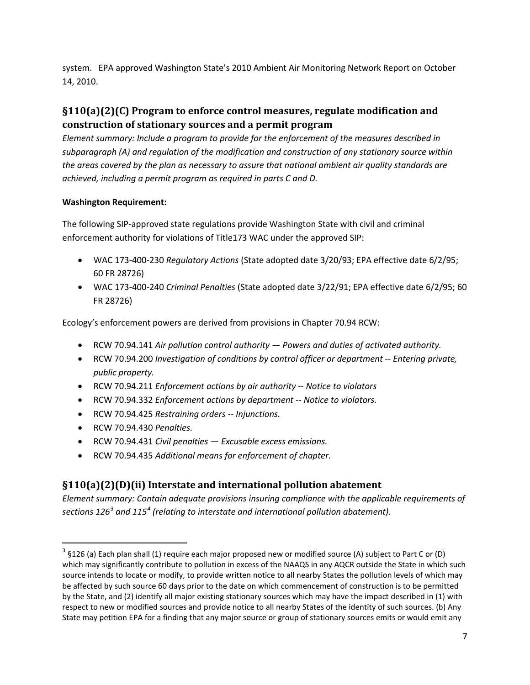system. EPA approved Washington State's 2010 Ambient Air Monitoring Network Report on October 14, 2010.

## <span id="page-6-0"></span>**§110(a)(2)(C) Program to enforce control measures, regulate modification and construction of stationary sources and a permit program**

*Element summary: Include a program to provide for the enforcement of the measures described in subparagraph (A) and regulation of the modification and construction of any stationary source within the areas covered by the plan as necessary to assure that national ambient air quality standards are achieved, including a permit program as required in parts C and D.* 

#### **Washington Requirement:**

The following SIP-approved state regulations provide Washington State with civil and criminal enforcement authority for violations of Title173 WAC under the approved SIP:

- WAC 173-400-230 *Regulatory Actions* (State adopted date 3/20/93; EPA effective date 6/2/95; 60 FR 28726)
- WAC 173-400-240 *Criminal Penalties* (State adopted date 3/22/91; EPA effective date 6/2/95; 60 FR 28726)

Ecology's enforcement powers are derived from provisions in Chapter 70.94 RCW:

- RCW 70.94.141 *Air pollution control authority Powers and duties of activated authority.*
- RCW 70.94.200 *Investigation of conditions by control officer or department -- Entering private, public property.*
- RCW 70.94.211 *Enforcement actions by air authority -- Notice to violators*
- RCW 70.94.332 *Enforcement actions by department -- Notice to violators.*
- RCW 70.94.425 *Restraining orders -- Injunctions.*
- RCW 70.94.430 *Penalties.*

 $\overline{\phantom{0}}$ 

- RCW 70.94.431 *Civil penalties Excusable excess emissions.*
- RCW 70.94.435 *Additional means for enforcement of chapter.*

#### <span id="page-6-3"></span><span id="page-6-1"></span>**§110(a)(2)(D)(ii) Interstate and international pollution abatement**

*Element summary: Contain adequate provisions insuring compliance with the applicable requirements of sections 126[3](#page-6-2) and 115[4](#page-6-3) (relating to interstate and international pollution abatement).*

<span id="page-6-2"></span><sup>&</sup>lt;sup>3</sup> §126 (a) Each plan shall (1) require each major proposed new or modified source (A) subject to Part C or (D) which may significantly contribute to pollution in excess of the NAAQS in any AQCR outside the State in which such source intends to locate or modify, to provide written notice to all nearby States the pollution levels of which may be affected by such source 60 days prior to the date on which commencement of construction is to be permitted by the State, and (2) identify all major existing stationary sources which may have the impact described in (1) with respect to new or modified sources and provide notice to all nearby States of the identity of such sources. (b) Any State may petition EPA for a finding that any major source or group of stationary sources emits or would emit any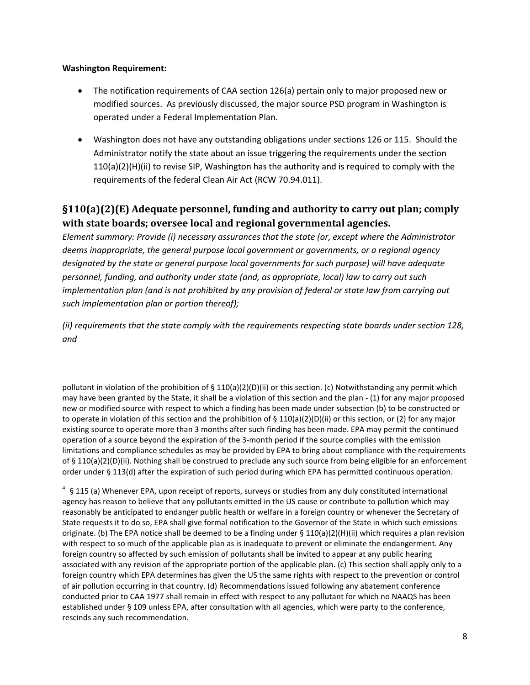#### **Washington Requirement:**

l

- The notification requirements of CAA section 126(a) pertain only to major proposed new or modified sources. As previously discussed, the major source PSD program in Washington is operated under a Federal Implementation Plan.
- Washington does not have any outstanding obligations under sections 126 or 115. Should the Administrator notify the state about an issue triggering the requirements under the section 110(a)(2)(H)(ii) to revise SIP, Washington has the authority and is required to comply with the requirements of the federal Clean Air Act (RCW 70.94.011).

## <span id="page-7-0"></span>**§110(a)(2)(E) Adequate personnel, funding and authority to carry out plan; comply with state boards; oversee local and regional governmental agencies.**

*Element summary: Provide (i) necessary assurances that the state (or, except where the Administrator deems inappropriate, the general purpose local government or governments, or a regional agency designated by the state or general purpose local governments for such purpose) will have adequate personnel, funding, and authority under state (and, as appropriate, local) law to carry out such implementation plan (and is not prohibited by any provision of federal or state law from carrying out such implementation plan or portion thereof);*

*(ii) requirements that the state comply with the requirements respecting state boards under section 128, and*

pollutant in violation of the prohibition of § 110(a)(2)(D)(ii) or this section. (c) Notwithstanding any permit which may have been granted by the State, it shall be a violation of this section and the plan - (1) for any major proposed new or modified source with respect to which a finding has been made under subsection (b) to be constructed or to operate in violation of this section and the prohibition of  $\S 110(a)(2)(D)(ii)$  or this section, or (2) for any major existing source to operate more than 3 months after such finding has been made. EPA may permit the continued operation of a source beyond the expiration of the 3-month period if the source complies with the emission limitations and compliance schedules as may be provided by EPA to bring about compliance with the requirements of § 110(a)(2)(D)(ii). Nothing shall be construed to preclude any such source from being eligible for an enforcement order under § 113(d) after the expiration of such period during which EPA has permitted continuous operation.

 $4\,$  § 115 (a) Whenever EPA, upon receipt of reports, surveys or studies from any duly constituted international agency has reason to believe that any pollutants emitted in the US cause or contribute to pollution which may reasonably be anticipated to endanger public health or welfare in a foreign country or whenever the Secretary of State requests it to do so, EPA shall give formal notification to the Governor of the State in which such emissions originate. (b) The EPA notice shall be deemed to be a finding under § 110(a)(2)(H)(ii) which requires a plan revision with respect to so much of the applicable plan as is inadequate to prevent or eliminate the endangerment. Any foreign country so affected by such emission of pollutants shall be invited to appear at any public hearing associated with any revision of the appropriate portion of the applicable plan. (c) This section shall apply only to a foreign country which EPA determines has given the US the same rights with respect to the prevention or control of air pollution occurring in that country. (d) Recommendations issued following any abatement conference conducted prior to CAA 1977 shall remain in effect with respect to any pollutant for which no NAAQS has been established under § 109 unless EPA, after consultation with all agencies, which were party to the conference, rescinds any such recommendation.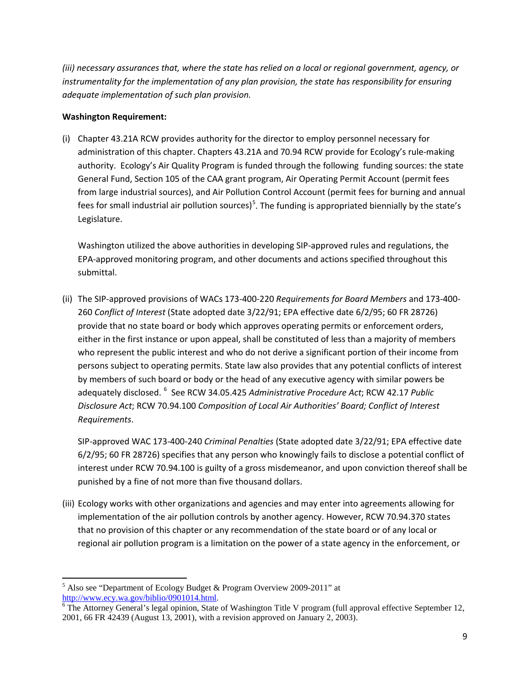*(iii) necessary assurances that, where the state has relied on a local or regional government, agency, or instrumentality for the implementation of any plan provision, the state has responsibility for ensuring adequate implementation of such plan provision.*

#### **Washington Requirement:**

(i) Chapter 43.21A RCW provides authority for the director to employ personnel necessary for administration of this chapter. Chapters 43.21A and 70.94 RCW provide for Ecology's rule-making authority. Ecology's Air Quality Program is funded through the following funding sources: the state General Fund, Section 105 of the CAA grant program, Air Operating Permit Account (permit fees from large industrial sources), and Air Pollution Control Account (permit fees for burning and annual fees for small industrial air pollution sources)<sup>[5](#page-8-0)</sup>. The funding is appropriated biennially by the state's Legislature.

Washington utilized the above authorities in developing SIP-approved rules and regulations, the EPA-approved monitoring program, and other documents and actions specified throughout this submittal.

(ii) The SIP-approved provisions of WACs 173-400-220 *Requirements for Board Members* and 173-400- 260 *Conflict of Interest* (State adopted date 3/22/91; EPA effective date 6/2/95; 60 FR 28726) provide that no state board or body which approves operating permits or enforcement orders, either in the first instance or upon appeal, shall be constituted of less than a majority of members who represent the public interest and who do not derive a significant portion of their income from persons subject to operating permits. State law also provides that any potential conflicts of interest by members of such board or body or the head of any executive agency with similar powers be adequately disclosed. <sup>[6](#page-8-1)</sup> See RCW 34.05.425 *Administrative Procedure Act*; RCW 42.17 *Public Disclosure Act*; RCW 70.94.100 *Composition of Local Air Authorities' Board; Conflict of Interest Requirements*.

SIP-approved WAC 173-400-240 *Criminal Penalties* (State adopted date 3/22/91; EPA effective date 6/2/95; 60 FR 28726) specifies that any person who knowingly fails to disclose a potential conflict of interest under RC[W 70.94.100](http://apps.leg.wa.gov/RCW/default.aspx?cite=70.94.100) is guilty of a gross misdemeanor, and upon conviction thereof shall be punished by a fine of not more than five thousand dollars.

(iii) Ecology works with other organizations and agencies and may enter into agreements allowing for implementation of the air pollution controls by another agency. However, RCW 70.94.370 states that no provision of this chapter or any recommendation of the state board or of any local or regional air pollution program is a limitation on the power of a state agency in the enforcement, or

ı

<span id="page-8-0"></span><sup>&</sup>lt;sup>5</sup> Also see "Department of Ecology Budget & Program Overview 2009-2011" at http://www.ecy.wa.gov/biblio/0901014.html.

<span id="page-8-1"></span> $\frac{1}{6}$ The Attorney General's legal opinion, State of Washington Title V program (full approval effective September 12, 2001, 66 FR 42439 (August 13, 2001), with a revision approved on January 2, 2003).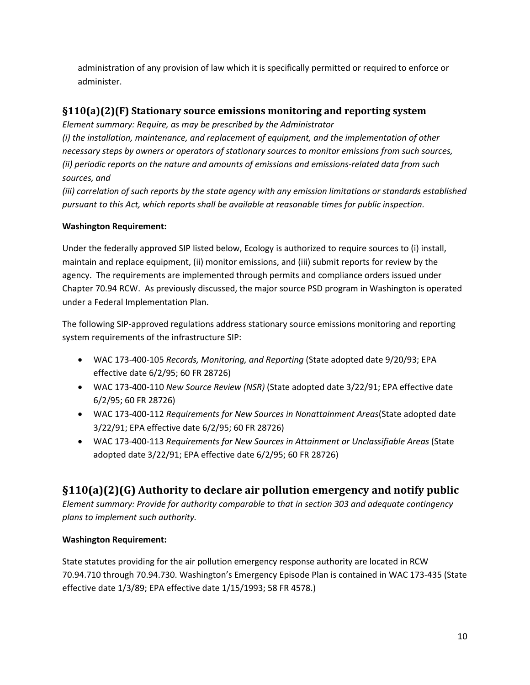administration of any provision of law which it is specifically permitted or required to enforce or administer.

## <span id="page-9-0"></span>**§110(a)(2)(F) Stationary source emissions monitoring and reporting system**

*Element summary: Require, as may be prescribed by the Administrator*

*(i) the installation, maintenance, and replacement of equipment, and the implementation of other necessary steps by owners or operators of stationary sources to monitor emissions from such sources, (ii) periodic reports on the nature and amounts of emissions and emissions-related data from such sources, and*

*(iii) correlation of such reports by the state agency with any emission limitations or standards established pursuant to this Act, which reports shall be available at reasonable times for public inspection.* 

### **Washington Requirement:**

Under the federally approved SIP listed below, Ecology is authorized to require sources to (i) install, maintain and replace equipment, (ii) monitor emissions, and (iii) submit reports for review by the agency. The requirements are implemented through permits and compliance orders issued under Chapter 70.94 RCW. As previously discussed, the major source PSD program in Washington is operated under a Federal Implementation Plan.

The following SIP-approved regulations address stationary source emissions monitoring and reporting system requirements of the infrastructure SIP:

- WAC 173-400-105 *Records, Monitoring, and Reporting* (State adopted date 9/20/93; EPA effective date 6/2/95; 60 FR 28726)
- WAC 173-400-110 *New Source Review (NSR)* (State adopted date 3/22/91; EPA effective date 6/2/95; 60 FR 28726)
- WAC 173-400-112 *Requirements for New Sources in Nonattainment Areas*(State adopted date 3/22/91; EPA effective date 6/2/95; 60 FR 28726)
- WAC 173-400-113 *Requirements for New Sources in Attainment or Unclassifiable Areas* (State adopted date 3/22/91; EPA effective date 6/2/95; 60 FR 28726)

## <span id="page-9-1"></span>**§110(a)(2)(G) Authority to declare air pollution emergency and notify public**

*Element summary: Provide for authority comparable to that in section 303 and adequate contingency plans to implement such authority.*

### **Washington Requirement:**

State statutes providing for the air pollution emergency response authority are located in RCW 70.94.710 through 70.94.730. Washington's Emergency Episode Plan is contained in WAC 173-435 (State effective date 1/3/89; EPA effective date 1/15/1993; 58 FR 4578.)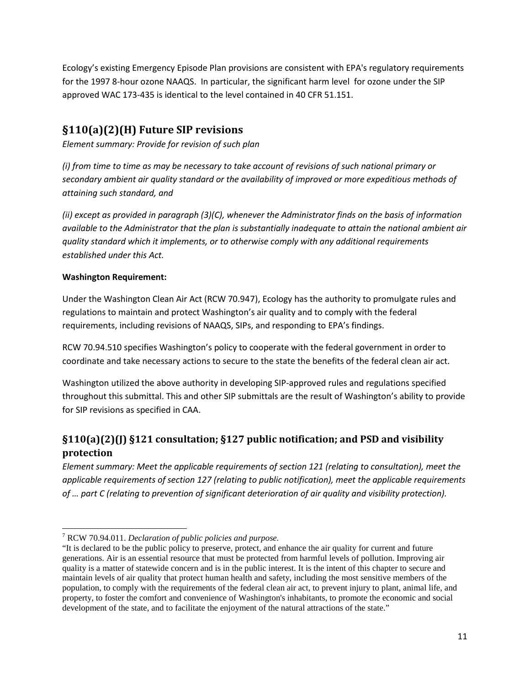Ecology's existing Emergency Episode Plan provisions are consistent with EPA's regulatory requirements for the 1997 8-hour ozone NAAQS. In particular, the significant harm level for ozone under the SIP approved WAC 173-435 is identical to the level contained in 40 CFR 51.151.

## <span id="page-10-0"></span>**§110(a)(2)(H) Future SIP revisions**

*Element summary: Provide for revision of such plan*

*(i) from time to time as may be necessary to take account of revisions of such national primary or secondary ambient air quality standard or the availability of improved or more expeditious methods of attaining such standard, and* 

*(ii) except as provided in paragraph (3)(C), whenever the Administrator finds on the basis of information available to the Administrator that the plan is substantially inadequate to attain the national ambient air quality standard which it implements, or to otherwise comply with any additional requirements established under this Act.* 

#### **Washington Requirement:**

Under the Washington Clean Air Act (RCW 70.94[7\)](#page-10-2), Ecology has the authority to promulgate rules and regulations to maintain and protect Washington's air quality and to comply with the federal requirements, including revisions of NAAQS, SIPs, and responding to EPA's findings.

RCW 70.94.510 specifies Washington's policy to cooperate with the federal government in order to coordinate and take necessary actions to secure to the state the benefits of the federal clean air act.

Washington utilized the above authority in developing SIP-approved rules and regulations specified throughout this submittal. This and other SIP submittals are the result of Washington's ability to provide for SIP revisions as specified in CAA.

## <span id="page-10-1"></span>**§110(a)(2)(J) §121 consultation; §127 public notification; and PSD and visibility protection**

*Element summary: Meet the applicable requirements of section 121 (relating to consultation), meet the applicable requirements of section 127 (relating to public notification), meet the applicable requirements of … part C (relating to prevention of significant deterioration of air quality and visibility protection).*

 $\overline{\phantom{0}}$ <sup>7</sup> RCW 70.94.011. *Declaration of public policies and purpose.*

<span id="page-10-2"></span><sup>&</sup>quot;It is declared to be the public policy to preserve, protect, and enhance the air quality for current and future generations. Air is an essential resource that must be protected from harmful levels of pollution. Improving air quality is a matter of statewide concern and is in the public interest. It is the intent of this chapter to secure and maintain levels of air quality that protect human health and safety, including the most sensitive members of the population, to comply with the requirements of the federal clean air act, to prevent injury to plant, animal life, and property, to foster the comfort and convenience of Washington's inhabitants, to promote the economic and social development of the state, and to facilitate the enjoyment of the natural attractions of the state."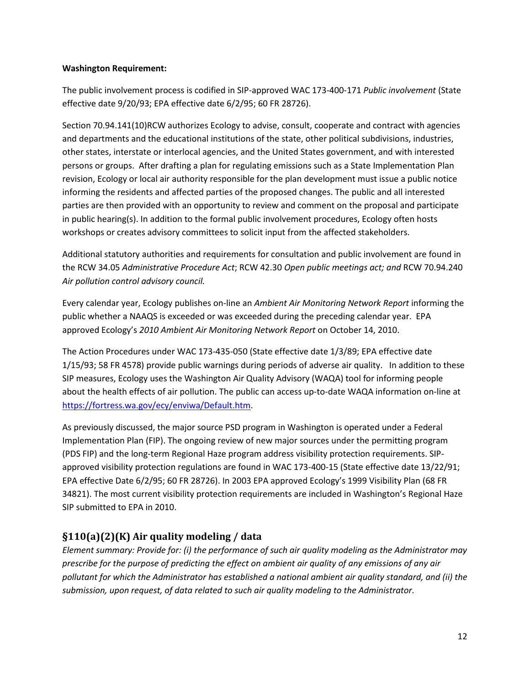#### **Washington Requirement:**

The public involvement process is codified in SIP-approved WAC 173-400-171 *Public involvement* (State effective date 9/20/93; EPA effective date 6/2/95; 60 FR 28726).

Section 70.94.141(10)RCW authorizes Ecology to advise, consult, cooperate and contract with agencies and departments and the educational institutions of the state, other political subdivisions, industries, other states, interstate or interlocal agencies, and the United States government, and with interested persons or groups. After drafting a plan for regulating emissions such as a State Implementation Plan revision, Ecology or local air authority responsible for the plan development must issue a public notice informing the residents and affected parties of the proposed changes. The public and all interested parties are then provided with an opportunity to review and comment on the proposal and participate in public hearing(s). In addition to the formal public involvement procedures, Ecology often hosts workshops or creates advisory committees to solicit input from the affected stakeholders.

Additional statutory authorities and requirements for consultation and public involvement are found in the RCW 34.05 *Administrative Procedure Act*; RCW 42.30 *Open public meetings act; and* RCW 70.94.240 *Air pollution control advisory council.* 

Every calendar year, Ecology publishes on-line an *Ambient Air Monitoring Network Report* informing the public whether a NAAQS is exceeded or was exceeded during the preceding calendar year. EPA approved Ecology's *2010 Ambient Air Monitoring Network Report* on October 14, 2010.

The Action Procedures under WAC 173-435-050 (State effective date 1/3/89; EPA effective date 1/15/93; 58 FR 4578) provide public warnings during periods of adverse air quality. In addition to these SIP measures, Ecology uses the Washington Air Quality Advisory (WAQA) tool for informing people about the health effects of air pollution. The public can access up-to-date WAQA information on-line at [https://fortress.wa.gov/ecy/enviwa/Default.htm.](https://fortress.wa.gov/ecy/enviwa/Default.htm)

As previously discussed, the major source PSD program in Washington is operated under a Federal Implementation Plan (FIP). The ongoing review of new major sources under the permitting program (PDS FIP) and the long-term Regional Haze program address visibility protection requirements. SIPapproved visibility protection regulations are found in WAC 173-400-15 (State effective date 13/22/91; EPA effective Date 6/2/95; 60 FR 28726). In 2003 EPA approved Ecology's 1999 Visibility Plan (68 FR 34821). The most current visibility protection requirements are included in Washington's Regional Haze SIP submitted to EPA in 2010.

### <span id="page-11-0"></span>**§110(a)(2)(K) Air quality modeling / data**

*Element summary: Provide for: (i) the performance of such air quality modeling as the Administrator may prescribe for the purpose of predicting the effect on ambient air quality of any emissions of any air pollutant for which the Administrator has established a national ambient air quality standard, and (ii) the submission, upon request, of data related to such air quality modeling to the Administrator.*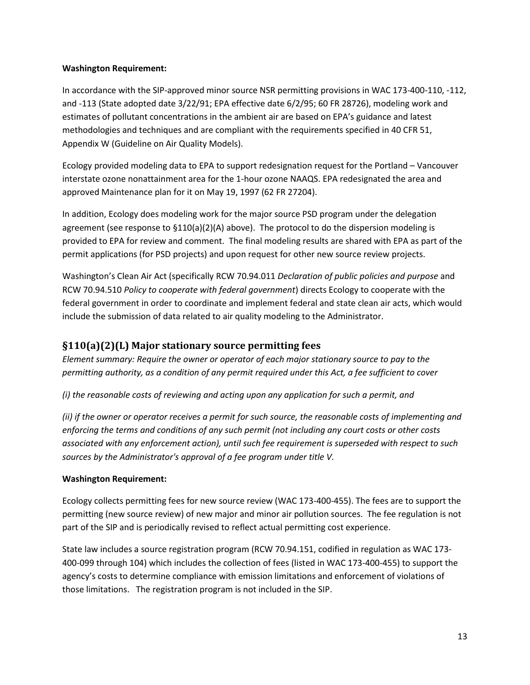#### **Washington Requirement:**

In accordance with the SIP-approved minor source NSR permitting provisions in WAC 173-400-110, -112, and -113 (State adopted date 3/22/91; EPA effective date 6/2/95; 60 FR 28726), modeling work and estimates of pollutant concentrations in the ambient air are based on EPA's guidance and latest methodologies and techniques and are compliant with the requirements specified in 40 CFR 51, Appendix W (Guideline on Air Quality Models).

Ecology provided modeling data to EPA to support redesignation request for the Portland – Vancouver interstate ozone nonattainment area for the 1-hour ozone NAAQS. EPA redesignated the area and approved Maintenance plan for it on May 19, 1997 (62 FR 27204).

In addition, Ecology does modeling work for the major source PSD program under the delegation agreement (see response to  $$110(a)(2)(A)$  above). The protocol to do the dispersion modeling is provided to EPA for review and comment. The final modeling results are shared with EPA as part of the permit applications (for PSD projects) and upon request for other new source review projects.

Washington's Clean Air Act (specifically RCW 70.94.011 *Declaration of public policies and purpose* and RCW 70.94.510 *Policy to cooperate with federal government*) directs Ecology to cooperate with the federal government in order to coordinate and implement federal and state clean air acts, which would include the submission of data related to air quality modeling to the Administrator.

### <span id="page-12-0"></span>**§110(a)(2)(L) Major stationary source permitting fees**

*Element summary: Require the owner or operator of each major stationary source to pay to the permitting authority, as a condition of any permit required under this Act, a fee sufficient to cover*

*(i) the reasonable costs of reviewing and acting upon any application for such a permit, and* 

*(ii) if the owner or operator receives a permit for such source, the reasonable costs of implementing and enforcing the terms and conditions of any such permit (not including any court costs or other costs associated with any enforcement action), until such fee requirement is superseded with respect to such sources by the Administrator's approval of a fee program under title V.* 

#### **Washington Requirement:**

Ecology collects permitting fees for new source review (WAC 173-400-455). The fees are to support the permitting (new source review) of new major and minor air pollution sources. The fee regulation is not part of the SIP and is periodically revised to reflect actual permitting cost experience.

State law includes a source registration program (RCW 70.94.151, codified in regulation as WAC 173- 400-099 through 104) which includes the collection of fees (listed in WAC 173-400-455) to support the agency's costs to determine compliance with emission limitations and enforcement of violations of those limitations. The registration program is not included in the SIP.